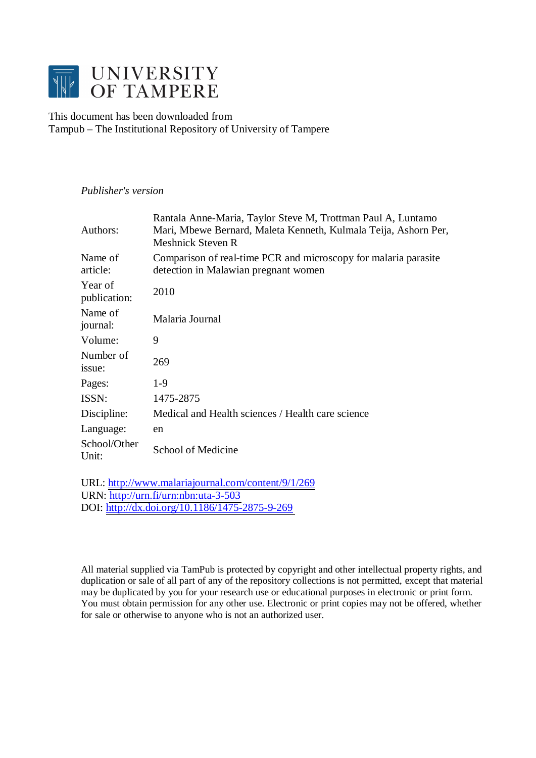

This document has been downloaded from Tampub – The Institutional Repository of University of Tampere

# *Publisher's version*

| Authors:                | Rantala Anne-Maria, Taylor Steve M, Trottman Paul A, Luntamo<br>Mari, Mbewe Bernard, Maleta Kenneth, Kulmala Teija, Ashorn Per,<br><b>Meshnick Steven R</b> |
|-------------------------|-------------------------------------------------------------------------------------------------------------------------------------------------------------|
| Name of<br>article:     | Comparison of real-time PCR and microscopy for malaria parasite<br>detection in Malawian pregnant women                                                     |
| Year of<br>publication: | 2010                                                                                                                                                        |
| Name of<br>journal:     | Malaria Journal                                                                                                                                             |
| Volume:                 | 9                                                                                                                                                           |
| Number of<br>issue:     | 269                                                                                                                                                         |
| Pages:                  | $1-9$                                                                                                                                                       |
| ISSN:                   | 1475-2875                                                                                                                                                   |
| Discipline:             | Medical and Health sciences / Health care science                                                                                                           |
| Language:               | en                                                                                                                                                          |
| School/Other<br>Unit:   | School of Medicine                                                                                                                                          |
|                         |                                                                                                                                                             |

URL: <http://www.malariajournal.com/content/9/1/269> URN:  $\frac{1}{\frac{\text{http://urn.fi/urn:nbn:uta-3-503}}$  $\frac{1}{\frac{\text{http://urn.fi/urn:nbn:uta-3-503}}$  $\frac{1}{\frac{\text{http://urn.fi/urn:nbn:uta-3-503}}$ DOI: <http://dx.doi.org/10.1186/1475-2875-9-269>

All material supplied via TamPub is protected by copyright and other intellectual property rights, and duplication or sale of all part of any of the repository collections is not permitted, except that material may be duplicated by you for your research use or educational purposes in electronic or print form. You must obtain permission for any other use. Electronic or print copies may not be offered, whether for sale or otherwise to anyone who is not an authorized user.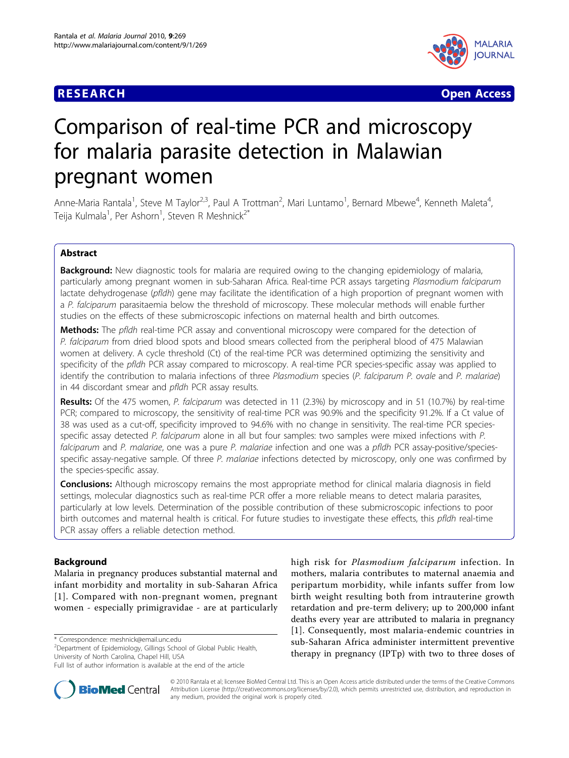

**RESEARCH CONTROL** CONTROL CONTROL CONTROL CONTROL CONTROL CONTROL CONTROL CONTROL CONTROL CONTROL CONTROL CONTROL

# Comparison of real-time PCR and microscopy for malaria parasite detection in Malawian pregnant women

Anne-Maria Rantala<sup>1</sup>, Steve M Taylor<sup>2,3</sup>, Paul A Trottman<sup>2</sup>, Mari Luntamo<sup>1</sup>, Bernard Mbewe<sup>4</sup>, Kenneth Maleta<sup>4</sup> , Teija Kulmala<sup>1</sup>, Per Ashorn<sup>1</sup>, Steven R Meshnick<sup>2\*</sup>

# Abstract

**Background:** New diagnostic tools for malaria are required owing to the changing epidemiology of malaria, particularly among pregnant women in sub-Saharan Africa. Real-time PCR assays targeting Plasmodium falciparum lactate dehydrogenase (pfldh) gene may facilitate the identification of a high proportion of pregnant women with a P. falciparum parasitaemia below the threshold of microscopy. These molecular methods will enable further studies on the effects of these submicroscopic infections on maternal health and birth outcomes.

**Methods:** The pfldh real-time PCR assay and conventional microscopy were compared for the detection of P. falciparum from dried blood spots and blood smears collected from the peripheral blood of 475 Malawian women at delivery. A cycle threshold (Ct) of the real-time PCR was determined optimizing the sensitivity and specificity of the pfldh PCR assay compared to microscopy. A real-time PCR species-specific assay was applied to identify the contribution to malaria infections of three Plasmodium species (P. falciparum P. ovale and P. malariae) in 44 discordant smear and pfldh PCR assay results.

Results: Of the 475 women, P. falciparum was detected in 11 (2.3%) by microscopy and in 51 (10.7%) by real-time PCR; compared to microscopy, the sensitivity of real-time PCR was 90.9% and the specificity 91.2%. If a Ct value of 38 was used as a cut-off, specificity improved to 94.6% with no change in sensitivity. The real-time PCR speciesspecific assay detected P. falciparum alone in all but four samples: two samples were mixed infections with P. falciparum and P. malariae, one was a pure P. malariae infection and one was a pfldh PCR assay-positive/speciesspecific assay-negative sample. Of three P. malariae infections detected by microscopy, only one was confirmed by the species-specific assay.

**Conclusions:** Although microscopy remains the most appropriate method for clinical malaria diagnosis in field settings, molecular diagnostics such as real-time PCR offer a more reliable means to detect malaria parasites, particularly at low levels. Determination of the possible contribution of these submicroscopic infections to poor birth outcomes and maternal health is critical. For future studies to investigate these effects, this pfldh real-time PCR assay offers a reliable detection method.

# Background

Malaria in pregnancy produces substantial maternal and infant morbidity and mortality in sub-Saharan Africa [[1\]](#page-8-0). Compared with non-pregnant women, pregnant women - especially primigravidae - are at particularly

\* Correspondence: [meshnick@email.unc.edu](mailto:meshnick@email.unc.edu)

<sup>2</sup>Department of Epidemiology, Gillings School of Global Public Health, University of North Carolina, Chapel Hill, USA

Full list of author information is available at the end of the article



high risk for Plasmodium falciparum infection. In mothers, malaria contributes to maternal anaemia and peripartum morbidity, while infants suffer from low birth weight resulting both from intrauterine growth retardation and pre-term delivery; up to 200,000 infant deaths every year are attributed to malaria in pregnancy [[1](#page-8-0)]. Consequently, most malaria-endemic countries in sub-Saharan Africa administer intermittent preventive therapy in pregnancy (IPTp) with two to three doses of

© 2010 Rantala et al; licensee BioMed Central Ltd. This is an Open Access article distributed under the terms of the Creative Commons Attribution License [\(http://creativecommons.org/licenses/by/2.0](http://creativecommons.org/licenses/by/2.0)), which permits unrestricted use, distribution, and reproduction in any medium, provided the original work is properly cited.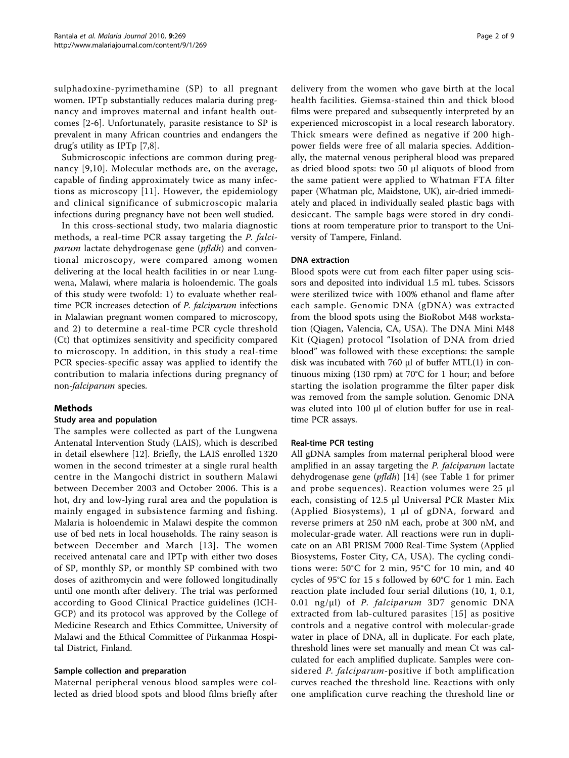sulphadoxine-pyrimethamine (SP) to all pregnant women. IPTp substantially reduces malaria during pregnancy and improves maternal and infant health outcomes [[2-6\]](#page-8-0). Unfortunately, parasite resistance to SP is prevalent in many African countries and endangers the drug's utility as IPTp [[7](#page-8-0),[8](#page-8-0)].

Submicroscopic infections are common during pregnancy [[9](#page-8-0),[10](#page-8-0)]. Molecular methods are, on the average, capable of finding approximately twice as many infections as microscopy [[11](#page-8-0)]. However, the epidemiology and clinical significance of submicroscopic malaria infections during pregnancy have not been well studied.

In this cross-sectional study, two malaria diagnostic methods, a real-time PCR assay targeting the P. falciparum lactate dehydrogenase gene (pfldh) and conventional microscopy, were compared among women delivering at the local health facilities in or near Lungwena, Malawi, where malaria is holoendemic. The goals of this study were twofold: 1) to evaluate whether realtime PCR increases detection of P. falciparum infections in Malawian pregnant women compared to microscopy, and 2) to determine a real-time PCR cycle threshold (Ct) that optimizes sensitivity and specificity compared to microscopy. In addition, in this study a real-time PCR species-specific assay was applied to identify the contribution to malaria infections during pregnancy of non-falciparum species.

# Methods

### Study area and population

The samples were collected as part of the Lungwena Antenatal Intervention Study (LAIS), which is described in detail elsewhere [\[12](#page-8-0)]. Briefly, the LAIS enrolled 1320 women in the second trimester at a single rural health centre in the Mangochi district in southern Malawi between December 2003 and October 2006. This is a hot, dry and low-lying rural area and the population is mainly engaged in subsistence farming and fishing. Malaria is holoendemic in Malawi despite the common use of bed nets in local households. The rainy season is between December and March [[13](#page-8-0)]. The women received antenatal care and IPTp with either two doses of SP, monthly SP, or monthly SP combined with two doses of azithromycin and were followed longitudinally until one month after delivery. The trial was performed according to Good Clinical Practice guidelines (ICH-GCP) and its protocol was approved by the College of Medicine Research and Ethics Committee, University of Malawi and the Ethical Committee of Pirkanmaa Hospital District, Finland.

### Sample collection and preparation

Maternal peripheral venous blood samples were collected as dried blood spots and blood films briefly after delivery from the women who gave birth at the local health facilities. Giemsa-stained thin and thick blood films were prepared and subsequently interpreted by an experienced microscopist in a local research laboratory. Thick smears were defined as negative if 200 highpower fields were free of all malaria species. Additionally, the maternal venous peripheral blood was prepared as dried blood spots: two 50 μl aliquots of blood from the same patient were applied to Whatman FTA filter paper (Whatman plc, Maidstone, UK), air-dried immediately and placed in individually sealed plastic bags with desiccant. The sample bags were stored in dry conditions at room temperature prior to transport to the University of Tampere, Finland.

### DNA extraction

Blood spots were cut from each filter paper using scissors and deposited into individual 1.5 mL tubes. Scissors were sterilized twice with 100% ethanol and flame after each sample. Genomic DNA (gDNA) was extracted from the blood spots using the BioRobot M48 workstation (Qiagen, Valencia, CA, USA). The DNA Mini M48 Kit (Qiagen) protocol "Isolation of DNA from dried blood" was followed with these exceptions: the sample disk was incubated with 760 μl of buffer MTL(1) in continuous mixing (130 rpm) at 70°C for 1 hour; and before starting the isolation programme the filter paper disk was removed from the sample solution. Genomic DNA was eluted into 100 μl of elution buffer for use in realtime PCR assays.

### Real-time PCR testing

All gDNA samples from maternal peripheral blood were amplified in an assay targeting the P. falciparum lactate dehydrogenase gene (pfldh) [\[14](#page-8-0)] (see Table [1](#page-3-0) for primer and probe sequences). Reaction volumes were 25 μl each, consisting of 12.5 μl Universal PCR Master Mix (Applied Biosystems), 1 μl of gDNA, forward and reverse primers at 250 nM each, probe at 300 nM, and molecular-grade water. All reactions were run in duplicate on an ABI PRISM 7000 Real-Time System (Applied Biosystems, Foster City, CA, USA). The cycling conditions were: 50°C for 2 min, 95°C for 10 min, and 40 cycles of 95°C for 15 s followed by 60°C for 1 min. Each reaction plate included four serial dilutions (10, 1, 0.1, 0.01 ng/ $\mu$ l) of *P. falciparum* 3D7 genomic DNA extracted from lab-cultured parasites [\[15\]](#page-8-0) as positive controls and a negative control with molecular-grade water in place of DNA, all in duplicate. For each plate, threshold lines were set manually and mean Ct was calculated for each amplified duplicate. Samples were considered P. falciparum-positive if both amplification curves reached the threshold line. Reactions with only one amplification curve reaching the threshold line or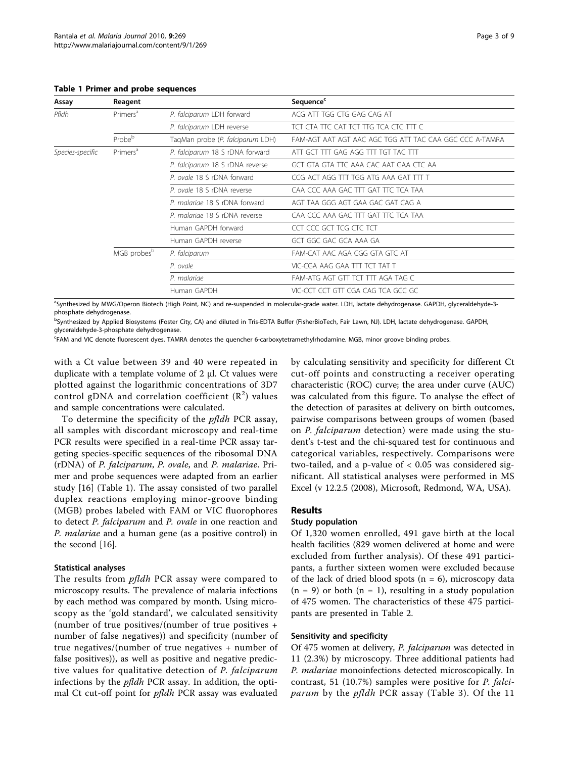<span id="page-3-0"></span>Table 1 Primer and probe sequences

| Assay            | Reagent                 |                                  | Sequence <sup>c</sup>                                   |
|------------------|-------------------------|----------------------------------|---------------------------------------------------------|
| Pfldh            | Primers <sup>a</sup>    | P. falciparum LDH forward        | ACG ATT TGG CTG GAG CAG AT                              |
|                  |                         | P. falciparum LDH reverse        | TCT CTA TTC CAT TCT TTG TCA CTC TTT C                   |
|                  | Probeb                  | TagMan probe (P. falciparum LDH) | FAM-AGT AAT AGT AAC AGC TGG ATT TAC CAA GGC CCC A-TAMRA |
| Species-specific | Primers <sup>a</sup>    | P. falciparum 18 S rDNA forward  | ATT GCT TTT GAG AGG TTT TGT TAC TTT                     |
|                  |                         | P. falciparum 18 S rDNA reverse  | GCT GTA GTA TTC AAA CAC AAT GAA CTC AA                  |
|                  |                         | P. ovale 18 S rDNA forward       | CCG ACT AGG TTT TGG ATG AAA GAT TTT T                   |
|                  |                         | P. ovale 18 S rDNA reverse       | CAA CCC AAA GAC TTT GAT TTC TCA TAA                     |
|                  |                         | P. malariae 18 S rDNA forward    | AGT TAA GGG AGT GAA GAC GAT CAG A                       |
|                  |                         | P. malariae 18 S rDNA reverse    | CAA CCC AAA GAC TTT GAT TTC TCA TAA                     |
|                  |                         | Human GAPDH forward              | CCT CCC GCT TCG CTC TCT                                 |
|                  |                         | Human GAPDH reverse              | GCT GGC GAC GCA AAA GA                                  |
|                  | MGB probes <sup>b</sup> | P. falciparum                    | FAM-CAT AAC AGA CGG GTA GTC AT                          |
|                  |                         | P. ovale                         | VIC-CGA AAG GAA TTT TCT TAT T                           |
|                  |                         | P. malariae                      | FAM-ATG AGT GTT TCT TTT AGA TAG C                       |
|                  |                         | Human GAPDH                      | VIC-CCT CCT GTT CGA CAG TCA GCC GC                      |

<sup>a</sup>Synthesized by MWG/Operon Biotech (High Point, NC) and re-suspended in molecular-grade water. LDH, lactate dehydrogenase. GAPDH, glyceraldehyde-3phosphate dehydrogenase.

bSynthesized by Applied Biosystems (Foster City, CA) and diluted in Tris-EDTA Buffer (FisherBioTech, Fair Lawn, NJ). LDH, lactate dehydrogenase. GAPDH, glyceraldehyde-3-phosphate dehydrogenase.

c FAM and VIC denote fluorescent dyes. TAMRA denotes the quencher 6-carboxytetramethylrhodamine. MGB, minor groove binding probes.

with a Ct value between 39 and 40 were repeated in duplicate with a template volume of 2 μl. Ct values were plotted against the logarithmic concentrations of 3D7 control gDNA and correlation coefficient  $(R^2)$  values and sample concentrations were calculated.

To determine the specificity of the pfldh PCR assay, all samples with discordant microscopy and real-time PCR results were specified in a real-time PCR assay targeting species-specific sequences of the ribosomal DNA (rDNA) of P. falciparum, P. ovale, and P. malariae. Primer and probe sequences were adapted from an earlier study [\[16](#page-8-0)] (Table 1). The assay consisted of two parallel duplex reactions employing minor-groove binding (MGB) probes labeled with FAM or VIC fluorophores to detect P. falciparum and P. ovale in one reaction and P. malariae and a human gene (as a positive control) in the second [\[16](#page-8-0)].

#### Statistical analyses

The results from *pfldh* PCR assay were compared to microscopy results. The prevalence of malaria infections by each method was compared by month. Using microscopy as the 'gold standard', we calculated sensitivity (number of true positives/(number of true positives + number of false negatives)) and specificity (number of true negatives/(number of true negatives + number of false positives)), as well as positive and negative predictive values for qualitative detection of P. falciparum infections by the pfldh PCR assay. In addition, the optimal Ct cut-off point for pfldh PCR assay was evaluated

by calculating sensitivity and specificity for different Ct cut-off points and constructing a receiver operating characteristic (ROC) curve; the area under curve (AUC) was calculated from this figure. To analyse the effect of the detection of parasites at delivery on birth outcomes, pairwise comparisons between groups of women (based on *P. falciparum* detection) were made using the student's t-test and the chi-squared test for continuous and categorical variables, respectively. Comparisons were two-tailed, and a p-value of < 0.05 was considered significant. All statistical analyses were performed in MS Excel (v 12.2.5 (2008), Microsoft, Redmond, WA, USA).

#### Results

#### Study population

Of 1,320 women enrolled, 491 gave birth at the local health facilities (829 women delivered at home and were excluded from further analysis). Of these 491 participants, a further sixteen women were excluded because of the lack of dried blood spots  $(n = 6)$ , microscopy data  $(n = 9)$  or both  $(n = 1)$ , resulting in a study population of 475 women. The characteristics of these 475 participants are presented in Table [2](#page-4-0).

#### Sensitivity and specificity

Of 475 women at delivery, P. falciparum was detected in 11 (2.3%) by microscopy. Three additional patients had P. malariae monoinfections detected microscopically. In contrast, 51 (10.7%) samples were positive for P. falciparum by the *pfldh* PCR assay (Table [3](#page-4-0)). Of the 11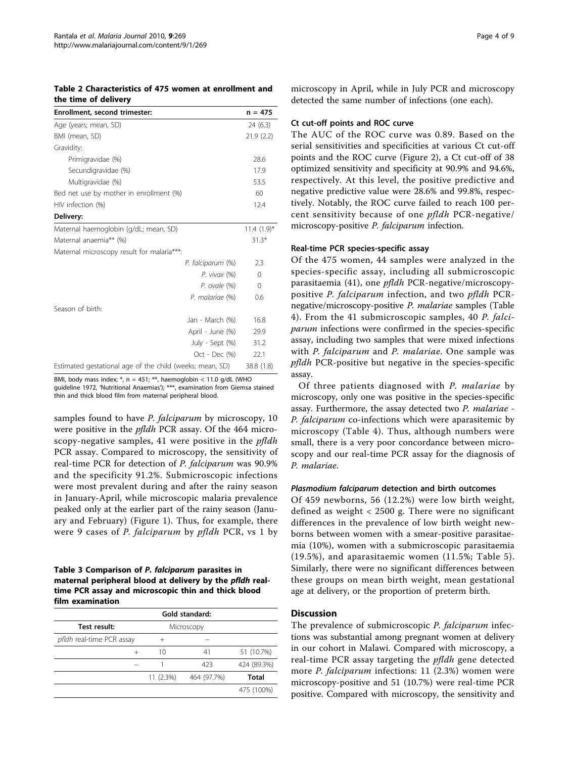#### <span id="page-4-0"></span>Table 2 Characteristics of 475 women at enrollment and the time of delivery

|                                                          | $n = 475$     |
|----------------------------------------------------------|---------------|
|                                                          | 24(6.3)       |
|                                                          | 21.9(2.2)     |
|                                                          |               |
|                                                          | 28.6          |
|                                                          | 17.9          |
|                                                          | 53.5          |
|                                                          | 60            |
|                                                          | 12.4          |
|                                                          |               |
|                                                          | $11.4(1.9)$ * |
|                                                          | $31.3*$       |
|                                                          |               |
| P. falciparum (%)                                        | 2.3           |
| $P.$ vivax $(%)$                                         | $\Omega$      |
| $P.$ ovale $(\%)$                                        | 0             |
| P. malariae (%)                                          | 0.6           |
|                                                          |               |
| Jan - March (%)                                          | 16.8          |
| April - June (%)                                         | 29.9          |
| July - Sept (%)                                          | 31.2          |
| $Oct$ - $Dec (%)$                                        | 22.1          |
| Estimated gestational age of the child (weeks; mean, SD) | 38.8 (1.8)    |
|                                                          |               |

BMI, body mass index;  $*$ , n = 451;  $**$ , haemoglobin < 11.0 g/dL (WHO guideline 1972, 'Nutritional Anaemias'); \*\*\*, examination from Giemsa stained thin and thick blood film from maternal peripheral blood.

samples found to have *P. falciparum* by microscopy, 10 were positive in the pfldh PCR assay. Of the 464 microscopy-negative samples, 41 were positive in the *pfldh* PCR assay. Compared to microscopy, the sensitivity of real-time PCR for detection of P. falciparum was 90.9% and the specificity 91.2%. Submicroscopic infections were most prevalent during and after the rainy season in January-April, while microscopic malaria prevalence peaked only at the earlier part of the rainy season (January and February) (Figure [1](#page-5-0)). Thus, for example, there were 9 cases of *P. falciparum* by *pfldh* PCR, vs 1 by

#### Table 3 Comparison of P. falciparum parasites in maternal peripheral blood at delivery by the pfldh realtime PCR assay and microscopic thin and thick blood film examination

| Gold standard:            |           |             |              |
|---------------------------|-----------|-------------|--------------|
| Test result:              |           | Microscopy  |              |
| pfldh real-time PCR assay | $^+$      |             |              |
|                           | 10        | 41          | 51 (10.7%)   |
|                           |           | 423         | 424 (89.3%)  |
|                           | 11 (2.3%) | 464 (97.7%) | <b>Total</b> |
|                           |           |             | 475 (100%)   |

microscopy in April, while in July PCR and microscopy detected the same number of infections (one each).

## Ct cut-off points and ROC curve

The AUC of the ROC curve was 0.89. Based on the serial sensitivities and specificities at various Ct cut-off points and the ROC curve (Figure [2](#page-5-0)), a Ct cut-off of 38 optimized sensitivity and specificity at 90.9% and 94.6%, respectively. At this level, the positive predictive and negative predictive value were 28.6% and 99.8%, respectively. Notably, the ROC curve failed to reach 100 percent sensitivity because of one pfldh PCR-negative/ microscopy-positive *P. falciparum* infection.

### Real-time PCR species-specific assay

Of the 475 women, 44 samples were analyzed in the species-specific assay, including all submicroscopic parasitaemia (41), one pfldh PCR-negative/microscopypositive P. falciparum infection, and two pfldh PCRnegative/microscopy-positive P. malariae samples (Table [4\)](#page-6-0). From the 41 submicroscopic samples, 40 P. falciparum infections were confirmed in the species-specific assay, including two samples that were mixed infections with P. falciparum and P. malariae. One sample was pfldh PCR-positive but negative in the species-specific assay.

Of three patients diagnosed with P. malariae by microscopy, only one was positive in the species-specific assay. Furthermore, the assay detected two P. malariae -P. falciparum co-infections which were aparasitemic by microscopy (Table [4\)](#page-6-0). Thus, although numbers were small, there is a very poor concordance between microscopy and our real-time PCR assay for the diagnosis of P. malariae.

### Plasmodium falciparum detection and birth outcomes

Of 459 newborns, 56 (12.2%) were low birth weight, defined as weight < 2500 g. There were no significant differences in the prevalence of low birth weight newborns between women with a smear-positive parasitaemia (10%), women with a submicroscopic parasitaemia (19.5%), and aparasitaemic women (11.5%; Table [5\)](#page-6-0). Similarly, there were no significant differences between these groups on mean birth weight, mean gestational age at delivery, or the proportion of preterm birth.

# **Discussion**

The prevalence of submicroscopic P. falciparum infections was substantial among pregnant women at delivery in our cohort in Malawi. Compared with microscopy, a real-time PCR assay targeting the pfldh gene detected more P. falciparum infections: 11 (2.3%) women were microscopy-positive and 51 (10.7%) were real-time PCR positive. Compared with microscopy, the sensitivity and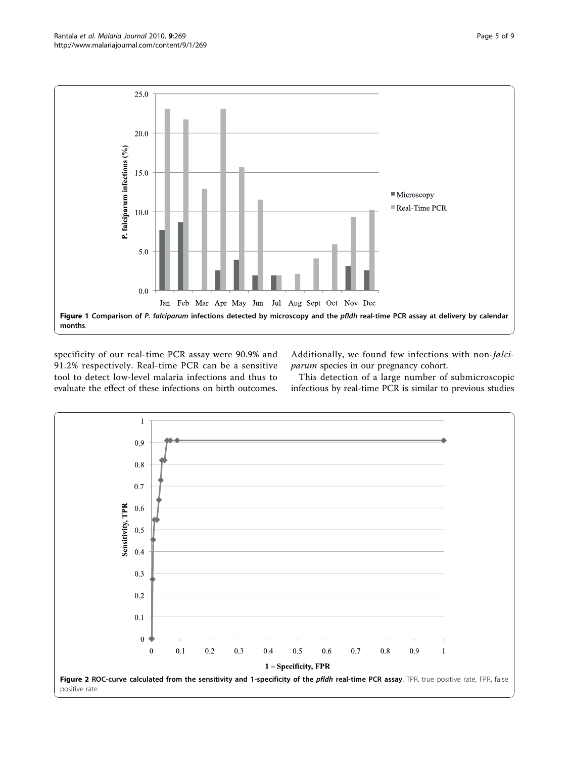<span id="page-5-0"></span>

specificity of our real-time PCR assay were 90.9% and 91.2% respectively. Real-time PCR can be a sensitive tool to detect low-level malaria infections and thus to evaluate the effect of these infections on birth outcomes.

Additionally, we found few infections with non-falciparum species in our pregnancy cohort.

This detection of a large number of submicroscopic infectious by real-time PCR is similar to previous studies

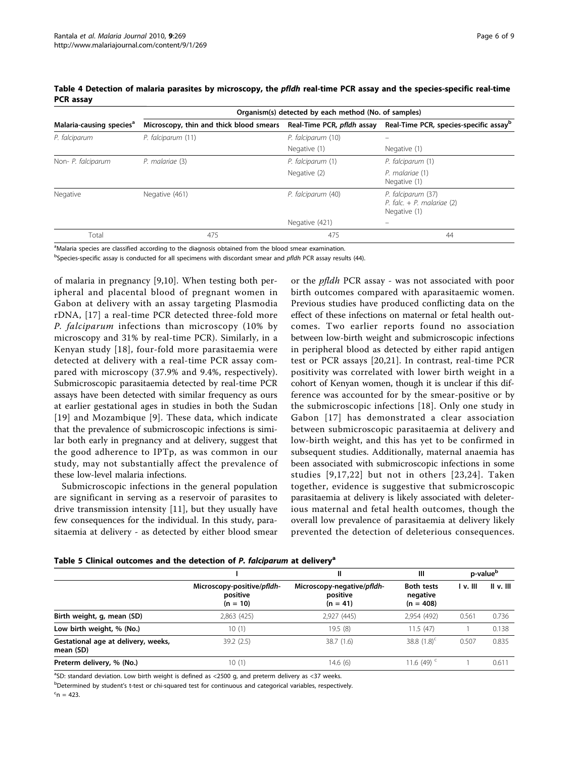|                                      | Organism(s) detected by each method (No. of samples) |                            |                                                                    |  |  |
|--------------------------------------|------------------------------------------------------|----------------------------|--------------------------------------------------------------------|--|--|
| Malaria-causing species <sup>a</sup> | Microscopy, thin and thick blood smears              | Real-Time PCR, pfldh assay | Real-Time PCR, species-specific assay <sup>b</sup>                 |  |  |
| P. falciparum                        | P. falciparum (11)                                   | P. falciparum (10)         |                                                                    |  |  |
|                                      |                                                      | Negative (1)               | Negative (1)                                                       |  |  |
| Non- P. falciparum                   | P. malariae (3)                                      | P. falciparum (1)          | P. falciparum (1)                                                  |  |  |
|                                      |                                                      | Negative (2)               | P. malariae (1)<br>Negative (1)                                    |  |  |
| Negative                             | Negative (461)                                       | P. falciparum (40)         | P. falciparum (37)<br>P. falc. $+$ P. malariae (2)<br>Negative (1) |  |  |
|                                      |                                                      | Negative (421)             |                                                                    |  |  |
| Total                                | 475                                                  | 475                        | 44                                                                 |  |  |

<span id="page-6-0"></span>Table 4 Detection of malaria parasites by microscopy, the pfldh real-time PCR assay and the species-specific real-time PCR assay

<sup>a</sup>Malaria species are classified according to the diagnosis obtained from the blood smear examination.

<sup>b</sup>Species-specific assay is conducted for all specimens with discordant smear and *pfldh* PCR assay results (44).

of malaria in pregnancy [[9,10](#page-8-0)]. When testing both peripheral and placental blood of pregnant women in Gabon at delivery with an assay targeting Plasmodia rDNA, [[17](#page-8-0)] a real-time PCR detected three-fold more P. falciparum infections than microscopy (10% by microscopy and 31% by real-time PCR). Similarly, in a Kenyan study [[18\]](#page-8-0), four-fold more parasitaemia were detected at delivery with a real-time PCR assay compared with microscopy (37.9% and 9.4%, respectively). Submicroscopic parasitaemia detected by real-time PCR assays have been detected with similar frequency as ours at earlier gestational ages in studies in both the Sudan [[19](#page-8-0)] and Mozambique [[9\]](#page-8-0). These data, which indicate that the prevalence of submicroscopic infections is similar both early in pregnancy and at delivery, suggest that the good adherence to IPTp, as was common in our study, may not substantially affect the prevalence of these low-level malaria infections.

Submicroscopic infections in the general population are significant in serving as a reservoir of parasites to drive transmission intensity [[11](#page-8-0)], but they usually have few consequences for the individual. In this study, parasitaemia at delivery - as detected by either blood smear

or the pfldh PCR assay - was not associated with poor birth outcomes compared with aparasitaemic women. Previous studies have produced conflicting data on the effect of these infections on maternal or fetal health outcomes. Two earlier reports found no association between low-birth weight and submicroscopic infections in peripheral blood as detected by either rapid antigen test or PCR assays [[20,21\]](#page-8-0). In contrast, real-time PCR positivity was correlated with lower birth weight in a cohort of Kenyan women, though it is unclear if this difference was accounted for by the smear-positive or by the submicroscopic infections [[18](#page-8-0)]. Only one study in Gabon [[17](#page-8-0)] has demonstrated a clear association between submicroscopic parasitaemia at delivery and low-birth weight, and this has yet to be confirmed in subsequent studies. Additionally, maternal anaemia has been associated with submicroscopic infections in some studies [[9](#page-8-0),[17](#page-8-0),[22\]](#page-8-0) but not in others [[23,24\]](#page-8-0). Taken together, evidence is suggestive that submicroscopic parasitaemia at delivery is likely associated with deleterious maternal and fetal health outcomes, though the overall low prevalence of parasitaemia at delivery likely prevented the detection of deleterious consequences.

|                                                  |                                                      | П                                                    | Ш                                            | p-value <sup>b</sup> |           |
|--------------------------------------------------|------------------------------------------------------|------------------------------------------------------|----------------------------------------------|----------------------|-----------|
|                                                  | Microscopy-positive/pfldh-<br>positive<br>$(n = 10)$ | Microscopy-negative/pfldh-<br>positive<br>$(n = 41)$ | <b>Both tests</b><br>negative<br>$(n = 408)$ | I v. III             | II v. III |
| Birth weight, g, mean (SD)                       | 2,863 (425)                                          | 2,927 (445)                                          | 2,954 (492)                                  | 0.561                | 0.736     |
| Low birth weight, % (No.)                        | 10(1)                                                | 19.5(8)                                              | 11.5(47)                                     |                      | 0.138     |
| Gestational age at delivery, weeks,<br>mean (SD) | 39.2(2.5)                                            | 38.7(1.6)                                            | 38.8 $(1.8)^c$                               | 0.507                | 0.835     |
| Preterm delivery, % (No.)                        | 10(1)                                                | 14.6 (6)                                             | 11.6 (49) <sup>c</sup>                       |                      | 0.611     |

Table 5 Clinical outcomes and the detection of P. falciparum at delivery<sup>a</sup>

<sup>a</sup>SD: standard deviation. Low birth weight is defined as <2500 g, and preterm delivery as <37 weeks.

b Determined by student's t-test or chi-squared test for continuous and categorical variables, respectively.

 $c_n = 423$ .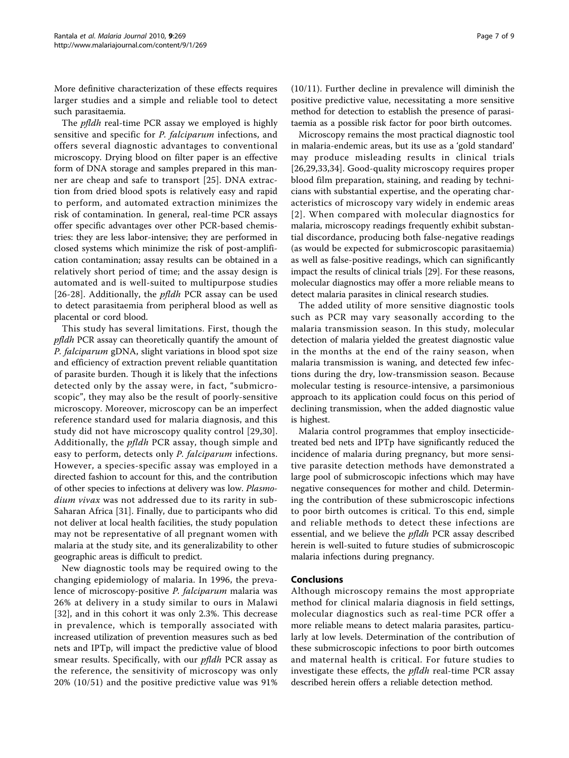More definitive characterization of these effects requires larger studies and a simple and reliable tool to detect such parasitaemia.

The *pfldh* real-time PCR assay we employed is highly sensitive and specific for P. falciparum infections, and offers several diagnostic advantages to conventional microscopy. Drying blood on filter paper is an effective form of DNA storage and samples prepared in this manner are cheap and safe to transport [[25](#page-8-0)]. DNA extraction from dried blood spots is relatively easy and rapid to perform, and automated extraction minimizes the risk of contamination. In general, real-time PCR assays offer specific advantages over other PCR-based chemistries: they are less labor-intensive; they are performed in closed systems which minimize the risk of post-amplification contamination; assay results can be obtained in a relatively short period of time; and the assay design is automated and is well-suited to multipurpose studies [[26](#page-8-0)-[28\]](#page-8-0). Additionally, the *pfldh* PCR assay can be used to detect parasitaemia from peripheral blood as well as placental or cord blood.

This study has several limitations. First, though the *pfldh* PCR assay can theoretically quantify the amount of P. falciparum gDNA, slight variations in blood spot size and efficiency of extraction prevent reliable quantitation of parasite burden. Though it is likely that the infections detected only by the assay were, in fact, "submicroscopic", they may also be the result of poorly-sensitive microscopy. Moreover, microscopy can be an imperfect reference standard used for malaria diagnosis, and this study did not have microscopy quality control [[29](#page-8-0),[30](#page-9-0)]. Additionally, the pfldh PCR assay, though simple and easy to perform, detects only P. falciparum infections. However, a species-specific assay was employed in a directed fashion to account for this, and the contribution of other species to infections at delivery was low. Plasmodium vivax was not addressed due to its rarity in sub-Saharan Africa [\[31](#page-9-0)]. Finally, due to participants who did not deliver at local health facilities, the study population may not be representative of all pregnant women with malaria at the study site, and its generalizability to other geographic areas is difficult to predict.

New diagnostic tools may be required owing to the changing epidemiology of malaria. In 1996, the prevalence of microscopy-positive P. falciparum malaria was 26% at delivery in a study similar to ours in Malawi [[32\]](#page-9-0), and in this cohort it was only 2.3%. This decrease in prevalence, which is temporally associated with increased utilization of prevention measures such as bed nets and IPTp, will impact the predictive value of blood smear results. Specifically, with our pfldh PCR assay as the reference, the sensitivity of microscopy was only 20% (10/51) and the positive predictive value was 91% (10/11). Further decline in prevalence will diminish the positive predictive value, necessitating a more sensitive method for detection to establish the presence of parasitaemia as a possible risk factor for poor birth outcomes.

Microscopy remains the most practical diagnostic tool in malaria-endemic areas, but its use as a 'gold standard' may produce misleading results in clinical trials [[26,29,](#page-8-0)[33,34](#page-9-0)]. Good-quality microscopy requires proper blood film preparation, staining, and reading by technicians with substantial expertise, and the operating characteristics of microscopy vary widely in endemic areas [[2\]](#page-8-0). When compared with molecular diagnostics for malaria, microscopy readings frequently exhibit substantial discordance, producing both false-negative readings (as would be expected for submicroscopic parasitaemia) as well as false-positive readings, which can significantly impact the results of clinical trials [\[29\]](#page-8-0). For these reasons, molecular diagnostics may offer a more reliable means to detect malaria parasites in clinical research studies.

The added utility of more sensitive diagnostic tools such as PCR may vary seasonally according to the malaria transmission season. In this study, molecular detection of malaria yielded the greatest diagnostic value in the months at the end of the rainy season, when malaria transmission is waning, and detected few infections during the dry, low-transmission season. Because molecular testing is resource-intensive, a parsimonious approach to its application could focus on this period of declining transmission, when the added diagnostic value is highest.

Malaria control programmes that employ insecticidetreated bed nets and IPTp have significantly reduced the incidence of malaria during pregnancy, but more sensitive parasite detection methods have demonstrated a large pool of submicroscopic infections which may have negative consequences for mother and child. Determining the contribution of these submicroscopic infections to poor birth outcomes is critical. To this end, simple and reliable methods to detect these infections are essential, and we believe the pfldh PCR assay described herein is well-suited to future studies of submicroscopic malaria infections during pregnancy.

#### Conclusions

Although microscopy remains the most appropriate method for clinical malaria diagnosis in field settings, molecular diagnostics such as real-time PCR offer a more reliable means to detect malaria parasites, particularly at low levels. Determination of the contribution of these submicroscopic infections to poor birth outcomes and maternal health is critical. For future studies to investigate these effects, the pfldh real-time PCR assay described herein offers a reliable detection method.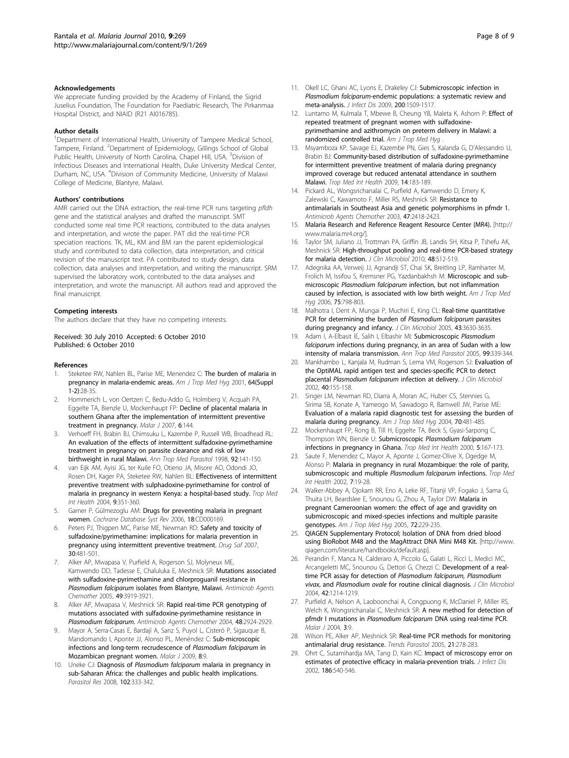#### <span id="page-8-0"></span>Acknowledgements

We appreciate funding provided by the Academy of Finland, the Sigrid Juselius Foundation, The Foundation for Paediatric Research, The Pirkanmaa Hospital District, and NIAID (R21 AI016785).

#### Author details

<sup>1</sup>Department of International Health, University of Tampere Medical School, Tampere, Finland. <sup>2</sup>Department of Epidemiology, Gillings School of Global Public Health, University of North Carolina, Chapel Hill, USA. <sup>3</sup>Division of Infectious Diseases and International Health, Duke University Medical Center, Durham, NC, USA. <sup>4</sup> Division of Community Medicine, University of Malawi College of Medicine, Blantyre, Malawi.

#### Authors' contributions

AMR carried out the DNA extraction, the real-time PCR runs targeting pfldh gene and the statistical analyses and drafted the manuscript. SMT conducted some real time PCR reactions, contributed to the data analyses and interpretation, and wrote the paper. PAT did the real-time PCR speciation reactions. TK, ML, KM and BM ran the parent epidemiological study and contributed to data collection, data interpretation, and critical revision of the manuscript text. PA contributed to study design, data collection, data analyses and interpretation, and writing the manuscript. SRM supervised the laboratory work, contributed to the data analyses and interpretation, and wrote the manuscript. All authors read and approved the final manuscript.

#### Competing interests

The authors declare that they have no competing interests.

#### Received: 30 July 2010 Accepted: 6 October 2010 Published: 6 October 2010

#### References

- 1. Steketee RW, Nahlen BL, Parise ME, Menendez C: [The burden of malaria in](http://www.ncbi.nlm.nih.gov/pubmed/11425175?dopt=Abstract) [pregnancy in malaria-endemic areas.](http://www.ncbi.nlm.nih.gov/pubmed/11425175?dopt=Abstract) Am J Trop Med Hyg 2001, 64(Suppl 1-2):28-35.
- 2. Hommerich L, von Oertzen C, Bedu-Addo G, Holmberg V, Acquah PA, Eggelte TA, Bienzle U, Mockenhaupt FP: [Decline of placental malaria in](http://www.ncbi.nlm.nih.gov/pubmed/17996048?dopt=Abstract) [southern Ghana after the implementation of intermittent preventive](http://www.ncbi.nlm.nih.gov/pubmed/17996048?dopt=Abstract) [treatment in pregnancy.](http://www.ncbi.nlm.nih.gov/pubmed/17996048?dopt=Abstract) Malar J 2007, 6:144.
- 3. Verhoeff FH, Brabin BJ, Chimsuku L, Kazembe P, Russell WB, Broadhead RL: [An evaluation of the effects of intermittent sulfadoxine-pyrimethamine](http://www.ncbi.nlm.nih.gov/pubmed/9625909?dopt=Abstract) [treatment in pregnancy on parasite clearance and risk of low](http://www.ncbi.nlm.nih.gov/pubmed/9625909?dopt=Abstract) [birthweight in rural Malawi.](http://www.ncbi.nlm.nih.gov/pubmed/9625909?dopt=Abstract) Ann Trop Med Parasitol 1998, 92:141-150.
- 4. van Eijk AM, Ayisi JG, ter Kuile FO, Otieno JA, Misore AO, Odondi JO, Rosen DH, Kager PA, Steketee RW, Nahlen BL: [Effectiveness of intermittent](http://www.ncbi.nlm.nih.gov/pubmed/14996364?dopt=Abstract) [preventive treatment with sulphadoxine-pyrimethamine for control of](http://www.ncbi.nlm.nih.gov/pubmed/14996364?dopt=Abstract) [malaria in pregnancy in western Kenya: a hospital-based study.](http://www.ncbi.nlm.nih.gov/pubmed/14996364?dopt=Abstract) Trop Med Int Health 2004, 9:351-360.
- Garner P, Gülmezoglu AM: Drugs for preventing malaria in pregnant women. Cochrane Database Syst Rev 2006, 18:CD000169.
- 6. Peters PJ, Thigpen MC, Parise ME, Newman RD: [Safety and toxicity of](http://www.ncbi.nlm.nih.gov/pubmed/17536875?dopt=Abstract) [sulfadoxine/pyrimethamine: implications for malaria prevention in](http://www.ncbi.nlm.nih.gov/pubmed/17536875?dopt=Abstract) [pregnancy using intermittent preventive treatment.](http://www.ncbi.nlm.nih.gov/pubmed/17536875?dopt=Abstract) Drug Saf 2007, 30:481-501.
- 7. Alker AP, Mwapasa V, Purfield A, Rogerson SJ, Molyneux ME, Kamwendo DD, Tadesse E, Chaluluka E, Meshnick SR: [Mutations associated](http://www.ncbi.nlm.nih.gov/pubmed/16127071?dopt=Abstract) [with sulfadoxine-pyrimethamine and chlorproguanil resistance in](http://www.ncbi.nlm.nih.gov/pubmed/16127071?dopt=Abstract) Plasmodium falciparum [isolates from Blantyre, Malawi.](http://www.ncbi.nlm.nih.gov/pubmed/16127071?dopt=Abstract) Antimicrob Agents Chemother 2005, 49:3919-3921.
- 8. Alker AP, Mwapasa V, Meshnick SR: [Rapid real-time PCR genotyping of](http://www.ncbi.nlm.nih.gov/pubmed/15273102?dopt=Abstract) [mutations associated with sulfadoxine-pyrimethamine resistance in](http://www.ncbi.nlm.nih.gov/pubmed/15273102?dopt=Abstract) [Plasmodium falciparum](http://www.ncbi.nlm.nih.gov/pubmed/15273102?dopt=Abstract). Antimicrob Agents Chemother 2004, 48:2924-2929.
- 9. Mayor A, Serra-Casas E, Bardají A, Sanz S, Puyol L, Cisteró P, Sigauque B, Mandomando I, Aponte JJ, Alonso PL, Menéndez C: [Sub-microscopic](http://www.ncbi.nlm.nih.gov/pubmed/19134201?dopt=Abstract) [infections and long-term recrudescence of](http://www.ncbi.nlm.nih.gov/pubmed/19134201?dopt=Abstract) Plasmodium falciparum in [Mozambican pregnant women.](http://www.ncbi.nlm.nih.gov/pubmed/19134201?dopt=Abstract) Malar J 2009, 8:9.
- 10. Uneke CJ: Diagnosis of Plasmodium falciparum [malaria in pregnancy in](http://www.ncbi.nlm.nih.gov/pubmed/18038150?dopt=Abstract) [sub-Saharan Africa: the challenges and public health implications.](http://www.ncbi.nlm.nih.gov/pubmed/18038150?dopt=Abstract) Parasitol Res 2008, 102:333-342.
- 11. Okell LC, Ghani AC, Lyons E, Drakeley CJ: [Submicroscopic infection in](http://www.ncbi.nlm.nih.gov/pubmed/19848588?dopt=Abstract) Plasmodium falciparum[-endemic populations: a systematic review and](http://www.ncbi.nlm.nih.gov/pubmed/19848588?dopt=Abstract) [meta-analysis.](http://www.ncbi.nlm.nih.gov/pubmed/19848588?dopt=Abstract) J Infect Dis 2009, 200:1509-1517.
- 12. Luntamo M, Kulmala T, Mbewe B, Cheung YB, Maleta K, Ashorn P: Effect of repeated treatment of pregnant women with sulfadoxinepyrimethamine and azithromycin on preterm delivery in Malawi: a randomized controlled trial. Am J Trop Med Hyg .
- 13. Msyamboza KP, Savage EJ, Kazembe PN, Gies S, Kalanda G, D'Alessandro U, Brabin BJ: [Community-based distribution of sulfadoxine-pyrimethamine](http://www.ncbi.nlm.nih.gov/pubmed/19207178?dopt=Abstract) [for intermittent preventive treatment of malaria during pregnancy](http://www.ncbi.nlm.nih.gov/pubmed/19207178?dopt=Abstract) [improved coverage but reduced antenatal attendance in southern](http://www.ncbi.nlm.nih.gov/pubmed/19207178?dopt=Abstract) [Malawi.](http://www.ncbi.nlm.nih.gov/pubmed/19207178?dopt=Abstract) Trop Med Int Health 2009, 14:183-189.
- 14. Pickard AL, Wongsrichanalai C, Purfield A, Kamwendo D, Emery K, Zalewski C, Kawamoto F, Miller RS, Meshnick SR: [Resistance to](http://www.ncbi.nlm.nih.gov/pubmed/12878499?dopt=Abstract) [antimalarials in Southeast Asia and genetic polymorphisms in pfmdr 1.](http://www.ncbi.nlm.nih.gov/pubmed/12878499?dopt=Abstract) Antimicrob Agents Chemother 2003, 47:2418-2423.
- 15. Malaria Research and Reference Reagent Resource Center (MR4). [\[http://](http://www.malaria.mr4.org/) [www.malaria.mr4.org/](http://www.malaria.mr4.org/)].
- 16. Taylor SM, Juliano JJ, Trottman PA, Griffin JB, Landis SH, Kitsa P, Tshefu AK, Meshnick SR: [High-throughput pooling and real-time PCR-based strategy](http://www.ncbi.nlm.nih.gov/pubmed/19940051?dopt=Abstract) [for malaria detection.](http://www.ncbi.nlm.nih.gov/pubmed/19940051?dopt=Abstract) J Clin Microbiol 2010, 48:512-519.
- 17. Adegnika AA, Verweij JJ, Agnandji ST, Chai SK, Breitling LP, Ramharter M, Frolich M, Issifou S, Kremsner PG, Yazdanbakhsh M: [Microscopic and sub](http://www.ncbi.nlm.nih.gov/pubmed/17123968?dopt=Abstract)microscopic Plasmodium falciparum [infection, but not inflammation](http://www.ncbi.nlm.nih.gov/pubmed/17123968?dopt=Abstract) [caused by infection, is associated with low birth weight.](http://www.ncbi.nlm.nih.gov/pubmed/17123968?dopt=Abstract) Am J Trop Med Hyg 2006, 75:798-803.
- 18. Malhotra I, Dent A, Mungai P, Muchiri E, King CL: [Real-time quantitative](http://www.ncbi.nlm.nih.gov/pubmed/16081889?dopt=Abstract) [PCR for determining the burden of](http://www.ncbi.nlm.nih.gov/pubmed/16081889?dopt=Abstract) Plasmodium falciparum parasites [during pregnancy and infancy.](http://www.ncbi.nlm.nih.gov/pubmed/16081889?dopt=Abstract) J Clin Microbiol 2005, 43:3630-3635.
- 19. Adam I, A-Elbasit IE, Salih I, Elbashir MI: [Submicroscopic](http://www.ncbi.nlm.nih.gov/pubmed/15949181?dopt=Abstract) Plasmodium falciparum [infections during pregnancy, in an area of Sudan with a low](http://www.ncbi.nlm.nih.gov/pubmed/15949181?dopt=Abstract) [intensity of malaria transmission.](http://www.ncbi.nlm.nih.gov/pubmed/15949181?dopt=Abstract) Ann Trop Med Parasitol 2005, 99:339-344.
- 20. Mankhambo L, Kanjala M, Rudman S, Lema VM, Rogerson SJ: [Evaluation of](http://www.ncbi.nlm.nih.gov/pubmed/11773110?dopt=Abstract) [the OptiMAL rapid antigen test and species-specific PCR to detect](http://www.ncbi.nlm.nih.gov/pubmed/11773110?dopt=Abstract) placental Plasmodium falciparum [infection at delivery.](http://www.ncbi.nlm.nih.gov/pubmed/11773110?dopt=Abstract) J Clin Microbiol 2002, 40:155-158.
- 21. Singer LM, Newman RD, Diarra A, Moran AC, Huber CS, Stennies G, Sirima SB, Konate A, Yameogo M, Sawadogo R, Barnwell JW, Parise ME: [Evaluation of a malaria rapid diagnostic test for assessing the burden of](http://www.ncbi.nlm.nih.gov/pubmed/15155979?dopt=Abstract) [malaria during pregnancy.](http://www.ncbi.nlm.nih.gov/pubmed/15155979?dopt=Abstract) Am J Trop Med Hyg 2004, 70:481-485.
- 22. Mockenhaupt FP, Rong B, Till H, Eggelte TA, Beck S, Gyasi-Sarpong C, Thompson WN, Bienzle U: Submicroscopic [Plasmodium falciparum](http://www.ncbi.nlm.nih.gov/pubmed/10747278?dopt=Abstract) [infections in pregnancy in Ghana.](http://www.ncbi.nlm.nih.gov/pubmed/10747278?dopt=Abstract) Trop Med Int Health 2000, 5:167-173.
- 23. Saute F, Menendez C, Mayor A, Aponte J, Gomez-Olive X, Dgedge M, Alonso P: [Malaria in pregnancy in rural Mozambique: the role of parity,](http://www.ncbi.nlm.nih.gov/pubmed/11851951?dopt=Abstract) [submicroscopic and multiple](http://www.ncbi.nlm.nih.gov/pubmed/11851951?dopt=Abstract) Plasmodium falciparum infections. Trop Med Int Health 2002, 7:19-28.
- 24. Walker-Abbey A, Djokam RR, Eno A, Leke RF, Titanji VP, Fogako J, Sama G, Thuita LH, Beardslee E, Snounou G, Zhou A, Taylor DW: [Malaria in](http://www.ncbi.nlm.nih.gov/pubmed/15772312?dopt=Abstract) [pregnant Cameroonian women: the effect of age and gravidity on](http://www.ncbi.nlm.nih.gov/pubmed/15772312?dopt=Abstract) [submicroscopic and mixed-species infections and multiple parasite](http://www.ncbi.nlm.nih.gov/pubmed/15772312?dopt=Abstract) [genotypes.](http://www.ncbi.nlm.nih.gov/pubmed/15772312?dopt=Abstract) Am J Trop Med Hyg 2005, 72:229-235.
- 25. QIAGEN Supplementary Protocol; Isolation of DNA from dried blood using BioRobot M48 and the MagAttract DNA Mini M48 Kit. [[http://www.](http://www.qiagen.com/literature/handbooks/default.asp) [qiagen.com/literature/handbooks/default.asp](http://www.qiagen.com/literature/handbooks/default.asp)].
- 26. Perandin F, Manca N, Calderaro A, Piccolo G, Galati L, Ricci L, Medici MC, Arcangeletti MC, Snounou G, Dettori G, Chezzi C: [Development of a real](http://www.ncbi.nlm.nih.gov/pubmed/15004078?dopt=Abstract)[time PCR assay for detection of](http://www.ncbi.nlm.nih.gov/pubmed/15004078?dopt=Abstract) Plasmodium falciparum, Plasmodium vivax, and Plasmodium ovale [for routine clinical diagnosis.](http://www.ncbi.nlm.nih.gov/pubmed/15004078?dopt=Abstract) J Clin Microbiol 2004, 42:1214-1219.
- 27. Purfield A, Nelson A, Laoboonchai A, Congpuong K, McDaniel P, Miller RS, Welch K, Wongsrichanalai C, Meshnick SR: [A new method for detection of](http://www.ncbi.nlm.nih.gov/pubmed/15132750?dopt=Abstract) pfmdr I mutations in Plasmodium falciparum [DNA using real-time PCR.](http://www.ncbi.nlm.nih.gov/pubmed/15132750?dopt=Abstract) Malar 1 2004 3:9
- 28. Wilson PE, Alker AP, Meshnick SR: [Real-time PCR methods for monitoring](http://www.ncbi.nlm.nih.gov/pubmed/15922249?dopt=Abstract) [antimalarial drug resistance.](http://www.ncbi.nlm.nih.gov/pubmed/15922249?dopt=Abstract) Trends Parasitol 2005, 21:278-283.
- 29. Ohrt C, Sutamihardja MA, Tang D, Kain KC: [Impact of microscopy error on](http://www.ncbi.nlm.nih.gov/pubmed/12195382?dopt=Abstract) [estimates of protective efficacy in malaria-prevention trials.](http://www.ncbi.nlm.nih.gov/pubmed/12195382?dopt=Abstract) J Infect Dis 2002, 186:540-546.